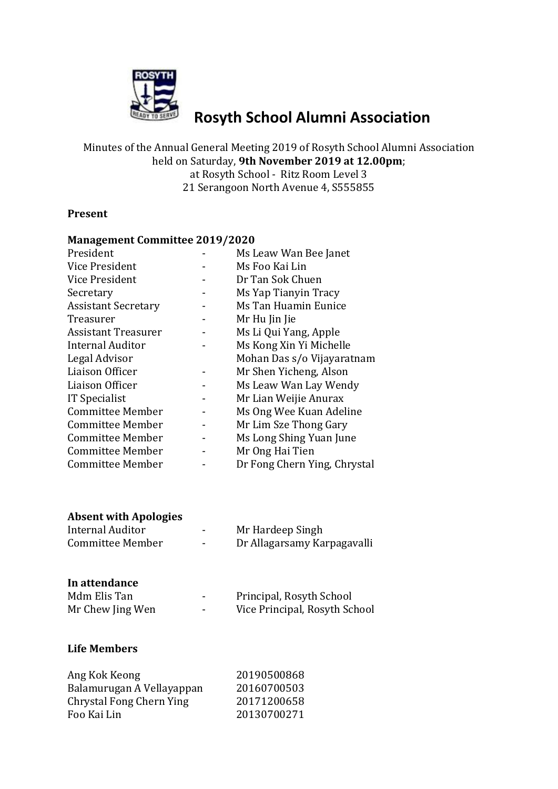

# **Rosyth School Alumni Association**

Minutes of the Annual General Meeting 2019 of Rosyth School Alumni Association held on Saturday, **9th November 2019 at 12.00pm**; at Rosyth School - Ritz Room Level 3 21 Serangoon North Avenue 4, S555855

## **Present**

#### **Management Committee 2019/2020**

| President                  | Ms Leaw Wan Bee Janet        |
|----------------------------|------------------------------|
| Vice President             | Ms Foo Kai Lin               |
| Vice President             | Dr Tan Sok Chuen             |
| Secretary                  | Ms Yap Tianyin Tracy         |
| <b>Assistant Secretary</b> | Ms Tan Huamin Eunice         |
| Treasurer                  | Mr Hu Jin Jie                |
| <b>Assistant Treasurer</b> | Ms Li Qui Yang, Apple        |
| <b>Internal Auditor</b>    | Ms Kong Xin Yi Michelle      |
| Legal Advisor              | Mohan Das s/o Vijayaratnam   |
| Liaison Officer            | Mr Shen Yicheng, Alson       |
| Liaison Officer            | Ms Leaw Wan Lay Wendy        |
| <b>IT Specialist</b>       | Mr Lian Weijie Anurax        |
| Committee Member           | Ms Ong Wee Kuan Adeline      |
| <b>Committee Member</b>    | Mr Lim Sze Thong Gary        |
| Committee Member           | Ms Long Shing Yuan June      |
| Committee Member           | Mr Ong Hai Tien              |
| Committee Member           | Dr Fong Chern Ying, Chrystal |

## **Absent with Apologies**

| Internal Auditor | -    | Mr Hardeep Singh            |
|------------------|------|-----------------------------|
| Committee Member | $\,$ | Dr Allagarsamy Karpagavalli |

## **In attendance**

| Mdm Elis Tan     | ۰ | Principal, Rosyth School      |
|------------------|---|-------------------------------|
| Mr Chew Jing Wen | - | Vice Principal, Rosyth School |

## **Life Members**

| Ang Kok Keong             | 20190500868 |
|---------------------------|-------------|
| Balamurugan A Vellayappan | 20160700503 |
| Chrystal Fong Chern Ying  | 20171200658 |
| Foo Kai Lin               | 20130700271 |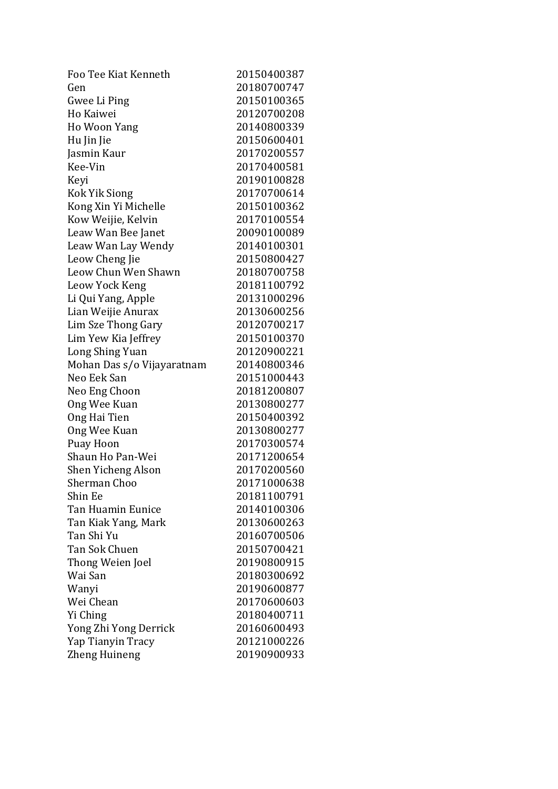| Foo Tee Kiat Kenneth       | 20150400387 |
|----------------------------|-------------|
| Gen                        | 20180700747 |
| Gwee Li Ping               | 20150100365 |
| Ho Kaiwei                  | 20120700208 |
| Ho Woon Yang               | 20140800339 |
| Hu Jin Jie                 | 20150600401 |
| Jasmin Kaur                | 20170200557 |
| Kee-Vin                    | 20170400581 |
| Keyi                       | 20190100828 |
| Kok Yik Siong              | 20170700614 |
| Kong Xin Yi Michelle       | 20150100362 |
| Kow Weijie, Kelvin         | 20170100554 |
| Leaw Wan Bee Janet         | 20090100089 |
| Leaw Wan Lay Wendy         | 20140100301 |
| Leow Cheng Jie             | 20150800427 |
| Leow Chun Wen Shawn        | 20180700758 |
| Leow Yock Keng             | 20181100792 |
| Li Qui Yang, Apple         | 20131000296 |
| Lian Weijie Anurax         | 20130600256 |
| Lim Sze Thong Gary         | 20120700217 |
| Lim Yew Kia Jeffrey        | 20150100370 |
| Long Shing Yuan            | 20120900221 |
| Mohan Das s/o Vijayaratnam | 20140800346 |
| Neo Eek San                | 20151000443 |
| Neo Eng Choon              | 20181200807 |
| Ong Wee Kuan               | 20130800277 |
| Ong Hai Tien               | 20150400392 |
| Ong Wee Kuan               | 20130800277 |
| Puay Hoon                  | 20170300574 |
| Shaun Ho Pan-Wei           | 20171200654 |
| Shen Yicheng Alson         | 20170200560 |
| <b>Sherman Choo</b>        | 20171000638 |
| Shin Ee                    | 20181100791 |
| Tan Huamin Eunice          | 20140100306 |
| Tan Kiak Yang, Mark        | 20130600263 |
| Tan Shi Yu                 | 20160700506 |
| Tan Sok Chuen              | 20150700421 |
| Thong Weien Joel           | 20190800915 |
| Wai San                    | 20180300692 |
| Wanyi                      | 20190600877 |
| Wei Chean                  | 20170600603 |
| Yi Ching                   | 20180400711 |
| Yong Zhi Yong Derrick      | 20160600493 |
| Yap Tianyin Tracy          | 20121000226 |
| Zheng Huineng              | 20190900933 |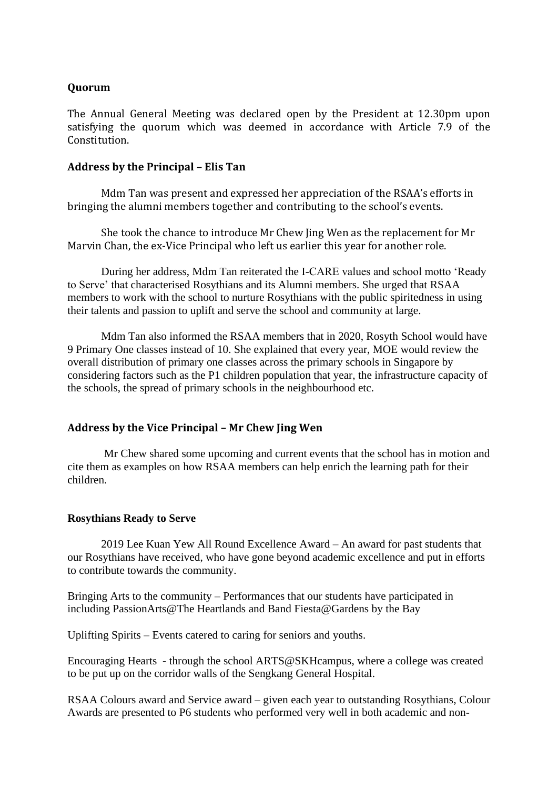## **Quorum**

The Annual General Meeting was declared open by the President at 12.30pm upon satisfying the quorum which was deemed in accordance with Article 7.9 of the Constitution.

## **Address by the Principal – Elis Tan**

Mdm Tan was present and expressed her appreciation of the RSAA's efforts in bringing the alumni members together and contributing to the school's events.

She took the chance to introduce Mr Chew Jing Wen as the replacement for Mr Marvin Chan, the ex-Vice Principal who left us earlier this year for another role.

During her address, Mdm Tan reiterated the I-CARE values and school motto 'Ready to Serve' that characterised Rosythians and its Alumni members. She urged that RSAA members to work with the school to nurture Rosythians with the public spiritedness in using their talents and passion to uplift and serve the school and community at large.

Mdm Tan also informed the RSAA members that in 2020, Rosyth School would have 9 Primary One classes instead of 10. She explained that every year, MOE would review the overall distribution of primary one classes across the primary schools in Singapore by considering factors such as the P1 children population that year, the infrastructure capacity of the schools, the spread of primary schools in the neighbourhood etc.

## **Address by the Vice Principal – Mr Chew Jing Wen**

Mr Chew shared some upcoming and current events that the school has in motion and cite them as examples on how RSAA members can help enrich the learning path for their children.

#### **Rosythians Ready to Serve**

2019 Lee Kuan Yew All Round Excellence Award – An award for past students that our Rosythians have received, who have gone beyond academic excellence and put in efforts to contribute towards the community.

Bringing Arts to the community – Performances that our students have participated in including PassionArts@The Heartlands and Band Fiesta@Gardens by the Bay

Uplifting Spirits – Events catered to caring for seniors and youths.

Encouraging Hearts - through the school ARTS@SKHcampus, where a college was created to be put up on the corridor walls of the Sengkang General Hospital.

RSAA Colours award and Service award – given each year to outstanding Rosythians, Colour Awards are presented to P6 students who performed very well in both academic and non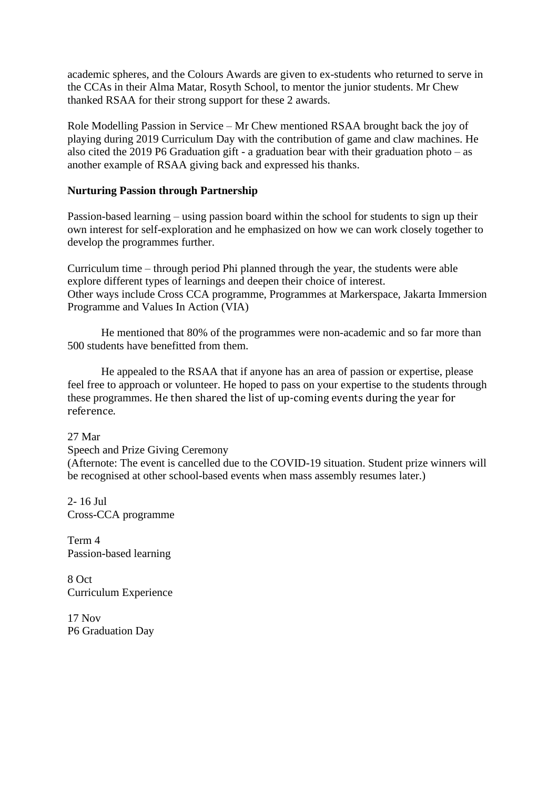academic spheres, and the Colours Awards are given to ex-students who returned to serve in the CCAs in their Alma Matar, Rosyth School, to mentor the junior students. Mr Chew thanked RSAA for their strong support for these 2 awards.

Role Modelling Passion in Service – Mr Chew mentioned RSAA brought back the joy of playing during 2019 Curriculum Day with the contribution of game and claw machines. He also cited the 2019 P6 Graduation gift - a graduation bear with their graduation photo – as another example of RSAA giving back and expressed his thanks.

## **Nurturing Passion through Partnership**

Passion-based learning – using passion board within the school for students to sign up their own interest for self-exploration and he emphasized on how we can work closely together to develop the programmes further.

Curriculum time – through period Phi planned through the year, the students were able explore different types of learnings and deepen their choice of interest. Other ways include Cross CCA programme, Programmes at Markerspace, Jakarta Immersion Programme and Values In Action (VIA)

He mentioned that 80% of the programmes were non-academic and so far more than 500 students have benefitted from them.

He appealed to the RSAA that if anyone has an area of passion or expertise, please feel free to approach or volunteer. He hoped to pass on your expertise to the students through these programmes. He then shared the list of up-coming events during the year for reference.

27 Mar

Speech and Prize Giving Ceremony

(Afternote: The event is cancelled due to the COVID-19 situation. Student prize winners will be recognised at other school-based events when mass assembly resumes later.)

2- 16 Jul Cross-CCA programme

Term 4 Passion-based learning

8 Oct Curriculum Experience

17 Nov P6 Graduation Day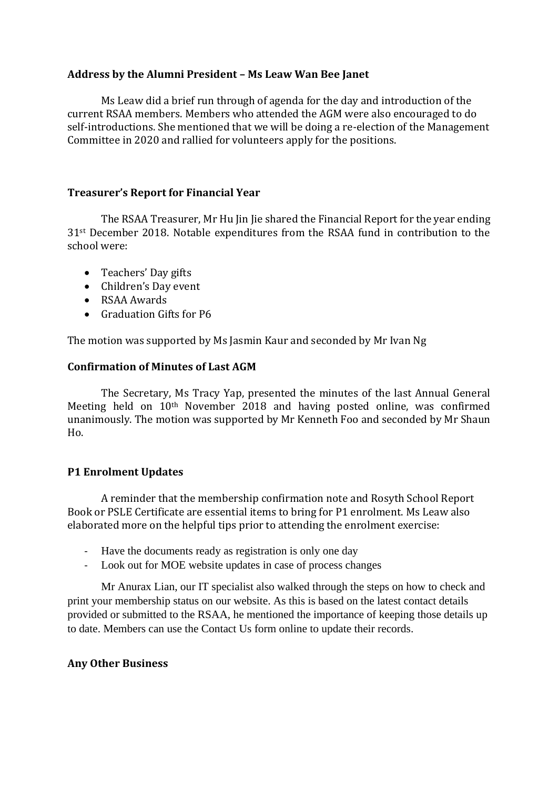## **Address by the Alumni President – Ms Leaw Wan Bee Janet**

Ms Leaw did a brief run through of agenda for the day and introduction of the current RSAA members. Members who attended the AGM were also encouraged to do self-introductions. She mentioned that we will be doing a re-election of the Management Committee in 2020 and rallied for volunteers apply for the positions.

## **Treasurer's Report for Financial Year**

The RSAA Treasurer, Mr Hu Jin Jie shared the Financial Report for the year ending 31st December 2018. Notable expenditures from the RSAA fund in contribution to the school were:

- Teachers' Day gifts
- Children's Day event
- RSAA Awards
- Graduation Gifts for P6

The motion was supported by Ms Jasmin Kaur and seconded by Mr Ivan Ng

## **Confirmation of Minutes of Last AGM**

The Secretary, Ms Tracy Yap, presented the minutes of the last Annual General Meeting held on 10th November 2018 and having posted online, was confirmed unanimously. The motion was supported by Mr Kenneth Foo and seconded by Mr Shaun Ho.

## **P1 Enrolment Updates**

A reminder that the membership confirmation note and Rosyth School Report Book or PSLE Certificate are essential items to bring for P1 enrolment. Ms Leaw also elaborated more on the helpful tips prior to attending the enrolment exercise:

- Have the documents ready as registration is only one day
- Look out for MOE website updates in case of process changes

Mr Anurax Lian, our IT specialist also walked through the steps on how to check and print your membership status on our website. As this is based on the latest contact details provided or submitted to the RSAA, he mentioned the importance of keeping those details up to date. Members can use the Contact Us form online to update their records.

## **Any Other Business**